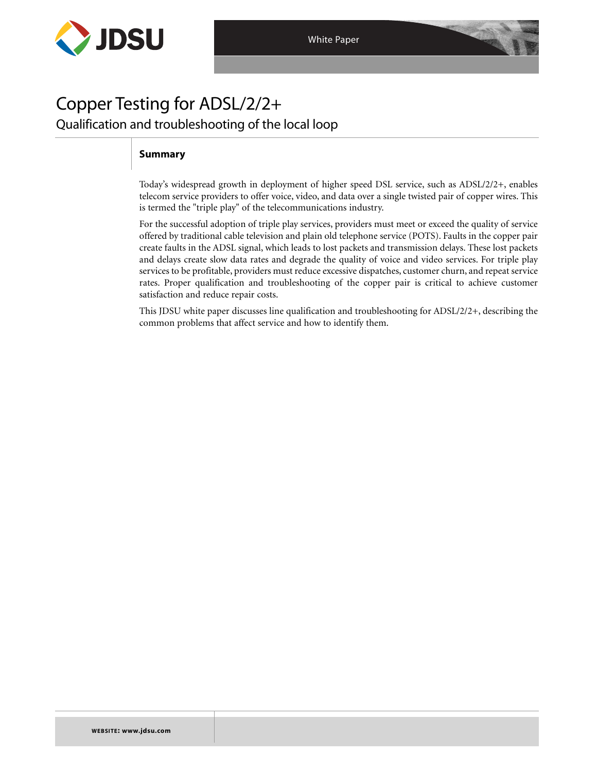

# Copper Testing for ADSL/2/2+ Qualification and troubleshooting of the local loop

# **Summary**

Today's widespread growth in deployment of higher speed DSL service, such as ADSL/2/2+, enables telecom service providers to offer voice, video, and data over a single twisted pair of copper wires. This is termed the "triple play" of the telecommunications industry.

For the successful adoption of triple play services, providers must meet or exceed the quality of service offered by traditional cable television and plain old telephone service (POTS). Faults in the copper pair create faults in the ADSL signal, which leads to lost packets and transmission delays. These lost packets and delays create slow data rates and degrade the quality of voice and video services. For triple play services to be profitable, providers must reduce excessive dispatches, customer churn, and repeat service rates. Proper qualification and troubleshooting of the copper pair is critical to achieve customer satisfaction and reduce repair costs.

This JDSU white paper discusses line qualification and troubleshooting for ADSL/2/2+, describing the common problems that affect service and how to identify them.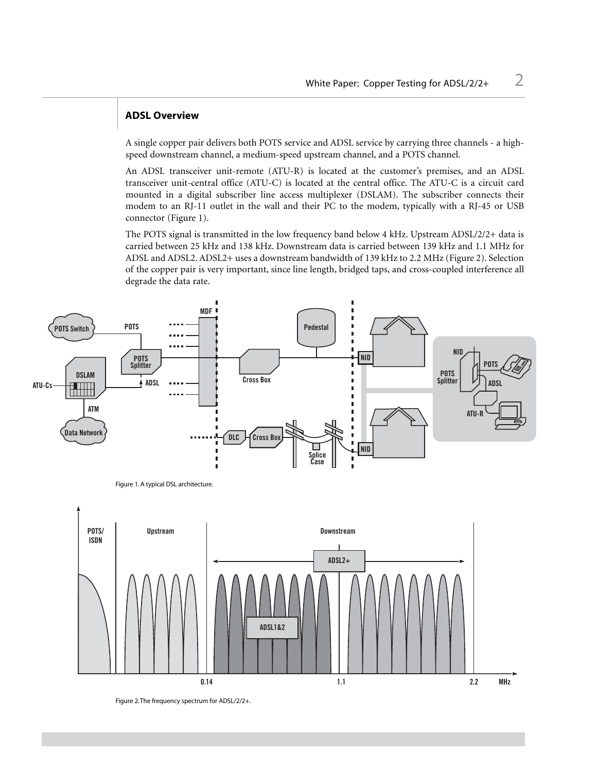## **ADSL Overview**

A single copper pair delivers both POTS service and ADSL service by carrying three channels - a highspeed downstream channel, a medium-speed upstream channel, and a POTS channel.

An ADSL transceiver unit-remote (ATU-R) is located at the customer's premises, and an ADSL transceiver unit-central office (ATU-C) is located at the central office. The ATU-C is a circuit card mounted in a digital subscriber line access multiplexer (DSLAM). The subscriber connects their modem to an RJ-11 outlet in the wall and their PC to the modem, typically with a RJ-45 or USB connector (Figure 1).

The POTS signal is transmitted in the low frequency band below 4 kHz. Upstream ADSL/2/2+ data is carried between 25 kHz and 138 kHz. Downstream data is carried between 139 kHz and 1.1 MHz for ADSL and ADSL2. ADSL2+ uses a downstream bandwidth of 139 kHz to 2.2 MHz (Figure 2). Selection of the copper pair is very important, since line length, bridged taps, and cross-coupled interference all degrade the data rate.



Figure 2.The frequency spectrum for ADSL/2/2+.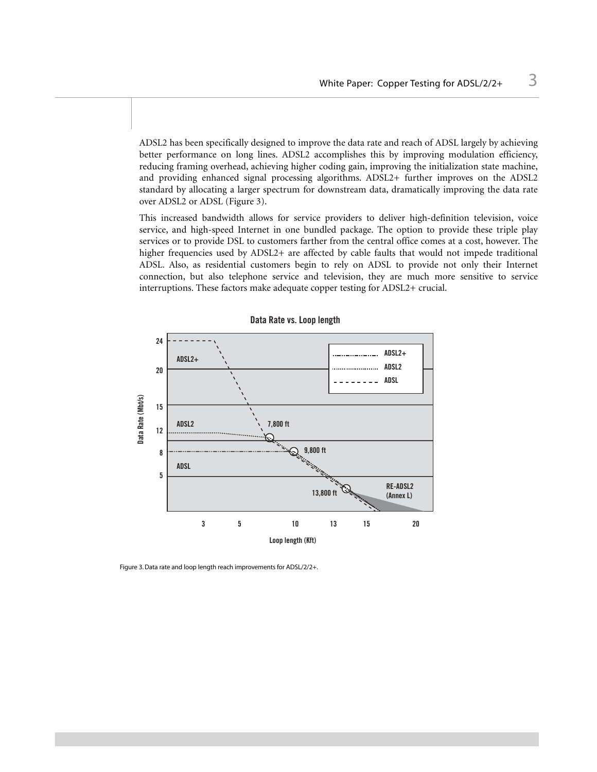ADSL2 has been specifically designed to improve the data rate and reach of ADSL largely by achieving better performance on long lines. ADSL2 accomplishes this by improving modulation efficiency, reducing framing overhead, achieving higher coding gain, improving the initialization state machine, and providing enhanced signal processing algorithms. ADSL2+ further improves on the ADSL2 standard by allocating a larger spectrum for downstream data, dramatically improving the data rate over ADSL2 or ADSL (Figure 3).

This increased bandwidth allows for service providers to deliver high-definition television, voice service, and high-speed Internet in one bundled package. The option to provide these triple play services or to provide DSL to customers farther from the central office comes at a cost, however. The higher frequencies used by ADSL2+ are affected by cable faults that would not impede traditional ADSL. Also, as residential customers begin to rely on ADSL to provide not only their Internet connection, but also telephone service and television, they are much more sensitive to service interruptions. These factors make adequate copper testing for ADSL2+ crucial.



## **Data Rate vs. Loop length**

Figure 3. Data rate and loop length reach improvements for ADSL/2/2+.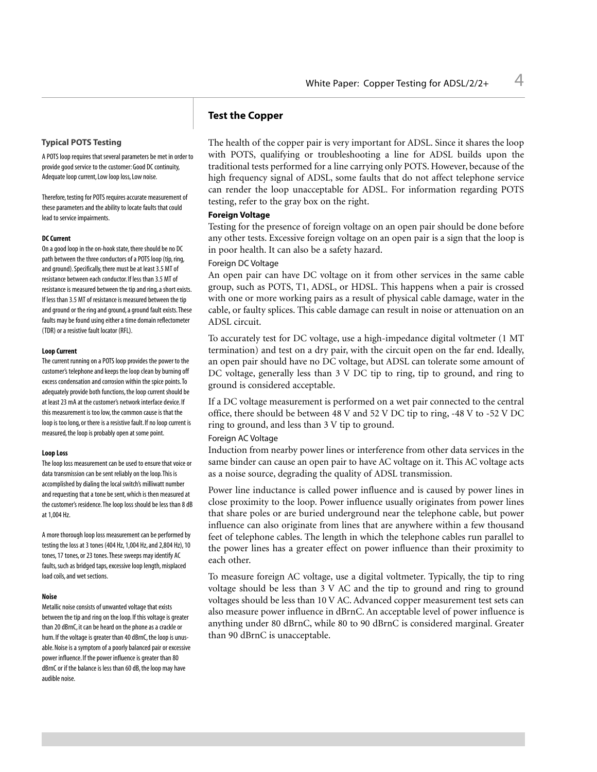## **Test the Copper**

## **Typical POTS Testing**

A POTS loop requires that several parameters be met in order to provide good service to the customer: Good DC continuity, Adequate loop current, Low loop loss, Low noise.

Therefore, testing for POTS requires accurate measurement of these parameters and the ability to locate faults that could lead to service impairments.

#### **DC Current**

On a good loop in the on-hook state, there should be no DC path between the three conductors of a POTS loop (tip, ring, and ground). Specifically, there must be at least 3.5 MT of resistance between each conductor. If less than 3.5 MT of resistance is measured between the tip and ring, a short exists. If less than 3.5 MT of resistance is measured between the tip and ground or the ring and ground, a ground fault exists.These faults may be found using either a time domain reflectometer (TDR) or a resistive fault locator (RFL).

#### **Loop Current**

The current running on a POTS loop provides the power to the customer's telephone and keeps the loop clean by burning off excess condensation and corrosion within the spice points.To adequately provide both functions, the loop current should be at least 23 mA at the customer's network interface device. If this measurement is too low, the common cause is that the loop is too long, or there is a resistive fault. If no loop current is measured, the loop is probably open at some point.

#### **Loop Loss**

The loop loss measurement can be used to ensure that voice or data transmission can be sent reliably on the loop.This is accomplished by dialing the local switch's milliwatt number and requesting that a tone be sent, which is then measured at the customer's residence.The loop loss should be less than 8 dB at 1,004 Hz.

A more thorough loop loss measurement can be performed by testing the loss at 3 tones (404 Hz, 1,004 Hz, and 2,804 Hz), 10 tones, 17 tones, or 23 tones.These sweeps may identify AC faults, such as bridged taps, excessive loop length, misplaced load coils, and wet sections.

#### **Noise**

Metallic noise consists of unwanted voltage that exists between the tip and ring on the loop. If this voltage is greater than 20 dBrnC, it can be heard on the phone as a crackle or hum. If the voltage is greater than 40 dBrnC, the loop is unusable. Noise is a symptom of a poorly balanced pair or excessive power influence. If the power influence is greater than 80 dBrnC or if the balance is less than 60 dB, the loop may have audible noise.

The health of the copper pair is very important for ADSL. Since it shares the loop with POTS, qualifying or troubleshooting a line for ADSL builds upon the traditional tests performed for a line carrying only POTS. However, because of the high frequency signal of ADSL, some faults that do not affect telephone service can render the loop unacceptable for ADSL. For information regarding POTS testing, refer to the gray box on the right.

## **Foreign Voltage**

Testing for the presence of foreign voltage on an open pair should be done before any other tests. Excessive foreign voltage on an open pair is a sign that the loop is in poor health. It can also be a safety hazard.

## Foreign DC Voltage

An open pair can have DC voltage on it from other services in the same cable group, such as POTS, T1, ADSL, or HDSL. This happens when a pair is crossed with one or more working pairs as a result of physical cable damage, water in the cable, or faulty splices. This cable damage can result in noise or attenuation on an ADSL circuit.

To accurately test for DC voltage, use a high-impedance digital voltmeter (1 MT termination) and test on a dry pair, with the circuit open on the far end. Ideally, an open pair should have no DC voltage, but ADSL can tolerate some amount of DC voltage, generally less than 3 V DC tip to ring, tip to ground, and ring to ground is considered acceptable.

If a DC voltage measurement is performed on a wet pair connected to the central office, there should be between 48 V and 52 V DC tip to ring, -48 V to -52 V DC ring to ground, and less than 3 V tip to ground.

#### Foreign AC Voltage

Induction from nearby power lines or interference from other data services in the same binder can cause an open pair to have AC voltage on it. This AC voltage acts as a noise source, degrading the quality of ADSL transmission.

Power line inductance is called power influence and is caused by power lines in close proximity to the loop. Power influence usually originates from power lines that share poles or are buried underground near the telephone cable, but power influence can also originate from lines that are anywhere within a few thousand feet of telephone cables. The length in which the telephone cables run parallel to the power lines has a greater effect on power influence than their proximity to each other.

To measure foreign AC voltage, use a digital voltmeter. Typically, the tip to ring voltage should be less than 3 V AC and the tip to ground and ring to ground voltages should be less than 10 V AC. Advanced copper measurement test sets can also measure power influence in dBrnC. An acceptable level of power influence is anything under 80 dBrnC, while 80 to 90 dBrnC is considered marginal. Greater than 90 dBrnC is unacceptable.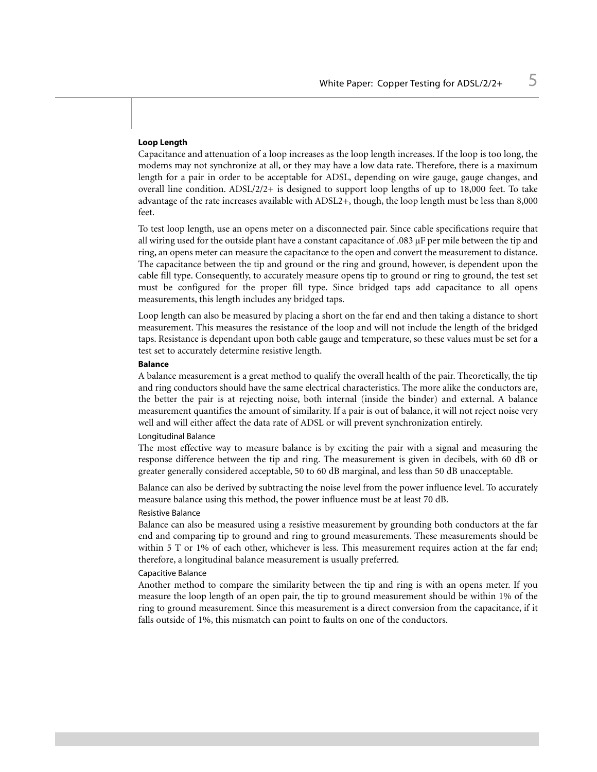## **Loop Length**

Capacitance and attenuation of a loop increases as the loop length increases. If the loop is too long, the modems may not synchronize at all, or they may have a low data rate. Therefore, there is a maximum length for a pair in order to be acceptable for ADSL, depending on wire gauge, gauge changes, and overall line condition.  $ADSL/2/2+$  is designed to support loop lengths of up to 18,000 feet. To take advantage of the rate increases available with ADSL2+, though, the loop length must be less than 8,000 feet.

To test loop length, use an opens meter on a disconnected pair. Since cable specifications require that all wiring used for the outside plant have a constant capacitance of .083 µF per mile between the tip and ring, an opens meter can measure the capacitance to the open and convert the measurement to distance. The capacitance between the tip and ground or the ring and ground, however, is dependent upon the cable fill type. Consequently, to accurately measure opens tip to ground or ring to ground, the test set must be configured for the proper fill type. Since bridged taps add capacitance to all opens measurements, this length includes any bridged taps.

Loop length can also be measured by placing a short on the far end and then taking a distance to short measurement. This measures the resistance of the loop and will not include the length of the bridged taps. Resistance is dependant upon both cable gauge and temperature, so these values must be set for a test set to accurately determine resistive length.

#### **Balance**

A balance measurement is a great method to qualify the overall health of the pair. Theoretically, the tip and ring conductors should have the same electrical characteristics. The more alike the conductors are, the better the pair is at rejecting noise, both internal (inside the binder) and external. A balance measurement quantifies the amount of similarity. If a pair is out of balance, it will not reject noise very well and will either affect the data rate of ADSL or will prevent synchronization entirely.

#### Longitudinal Balance

The most effective way to measure balance is by exciting the pair with a signal and measuring the response difference between the tip and ring. The measurement is given in decibels, with 60 dB or greater generally considered acceptable, 50 to 60 dB marginal, and less than 50 dB unacceptable.

Balance can also be derived by subtracting the noise level from the power influence level. To accurately measure balance using this method, the power influence must be at least 70 dB.

## Resistive Balance

Balance can also be measured using a resistive measurement by grounding both conductors at the far end and comparing tip to ground and ring to ground measurements. These measurements should be within 5 T or 1% of each other, whichever is less. This measurement requires action at the far end; therefore, a longitudinal balance measurement is usually preferred.

## Capacitive Balance

Another method to compare the similarity between the tip and ring is with an opens meter. If you measure the loop length of an open pair, the tip to ground measurement should be within 1% of the ring to ground measurement. Since this measurement is a direct conversion from the capacitance, if it falls outside of 1%, this mismatch can point to faults on one of the conductors.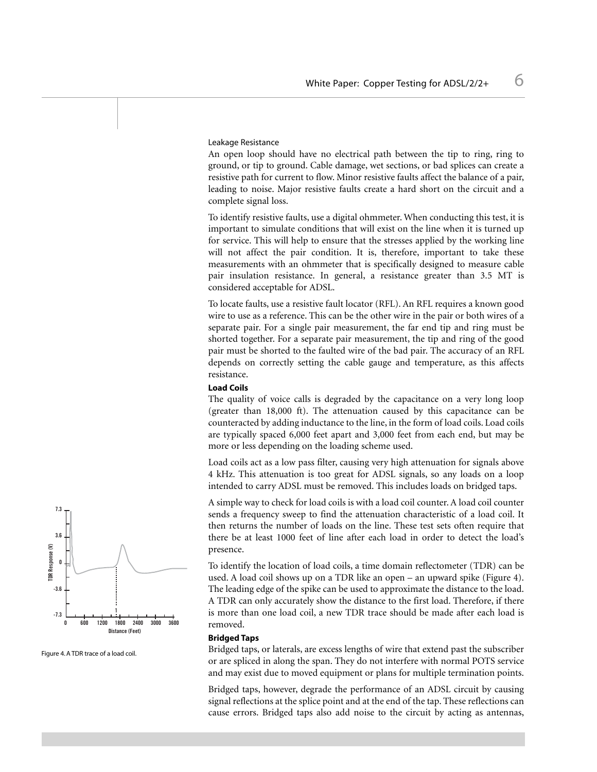#### Leakage Resistance

An open loop should have no electrical path between the tip to ring, ring to ground, or tip to ground. Cable damage, wet sections, or bad splices can create a resistive path for current to flow. Minor resistive faults affect the balance of a pair, leading to noise. Major resistive faults create a hard short on the circuit and a complete signal loss.

To identify resistive faults, use a digital ohmmeter. When conducting this test, it is important to simulate conditions that will exist on the line when it is turned up for service. This will help to ensure that the stresses applied by the working line will not affect the pair condition. It is, therefore, important to take these measurements with an ohmmeter that is specifically designed to measure cable pair insulation resistance. In general, a resistance greater than 3.5 MT is considered acceptable for ADSL.

To locate faults, use a resistive fault locator (RFL). An RFL requires a known good wire to use as a reference. This can be the other wire in the pair or both wires of a separate pair. For a single pair measurement, the far end tip and ring must be shorted together. For a separate pair measurement, the tip and ring of the good pair must be shorted to the faulted wire of the bad pair. The accuracy of an RFL depends on correctly setting the cable gauge and temperature, as this affects resistance.

### **Load Coils**

The quality of voice calls is degraded by the capacitance on a very long loop (greater than 18,000 ft). The attenuation caused by this capacitance can be counteracted by adding inductance to the line, in the form of load coils. Load coils are typically spaced 6,000 feet apart and 3,000 feet from each end, but may be more or less depending on the loading scheme used.

Load coils act as a low pass filter, causing very high attenuation for signals above 4 kHz. This attenuation is too great for ADSL signals, so any loads on a loop intended to carry ADSL must be removed. This includes loads on bridged taps.

A simple way to check for load coils is with a load coil counter. A load coil counter sends a frequency sweep to find the attenuation characteristic of a load coil. It then returns the number of loads on the line. These test sets often require that there be at least 1000 feet of line after each load in order to detect the load's presence.

To identify the location of load coils, a time domain reflectometer (TDR) can be used. A load coil shows up on a TDR like an open – an upward spike (Figure 4). The leading edge of the spike can be used to approximate the distance to the load. A TDR can only accurately show the distance to the first load. Therefore, if there is more than one load coil, a new TDR trace should be made after each load is removed.

#### **Bridged Taps**

Bridged taps, or laterals, are excess lengths of wire that extend past the subscriber or are spliced in along the span. They do not interfere with normal POTS service and may exist due to moved equipment or plans for multiple termination points.

Bridged taps, however, degrade the performance of an ADSL circuit by causing signal reflections at the splice point and at the end of the tap. These reflections can cause errors. Bridged taps also add noise to the circuit by acting as antennas,



Figure 4. A TDR trace of a load coil.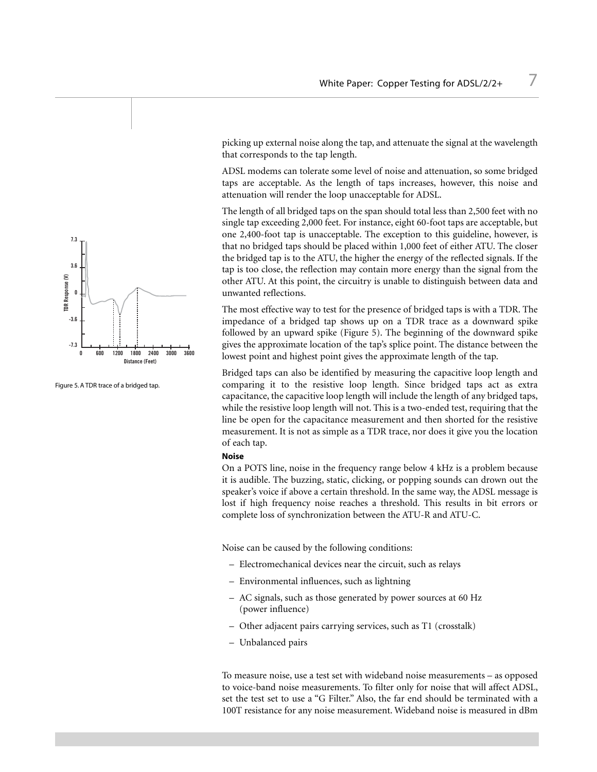

Figure 5. A TDR trace of a bridged tap.

picking up external noise along the tap, and attenuate the signal at the wavelength that corresponds to the tap length.

ADSL modems can tolerate some level of noise and attenuation, so some bridged taps are acceptable. As the length of taps increases, however, this noise and attenuation will render the loop unacceptable for ADSL.

The length of all bridged taps on the span should total less than 2,500 feet with no single tap exceeding 2,000 feet. For instance, eight 60-foot taps are acceptable, but one 2,400-foot tap is unacceptable. The exception to this guideline, however, is that no bridged taps should be placed within 1,000 feet of either ATU. The closer the bridged tap is to the ATU, the higher the energy of the reflected signals. If the tap is too close, the reflection may contain more energy than the signal from the other ATU. At this point, the circuitry is unable to distinguish between data and unwanted reflections.

The most effective way to test for the presence of bridged taps is with a TDR. The impedance of a bridged tap shows up on a TDR trace as a downward spike followed by an upward spike (Figure 5). The beginning of the downward spike gives the approximate location of the tap's splice point. The distance between the lowest point and highest point gives the approximate length of the tap.

Bridged taps can also be identified by measuring the capacitive loop length and comparing it to the resistive loop length. Since bridged taps act as extra capacitance, the capacitive loop length will include the length of any bridged taps, while the resistive loop length will not. This is a two-ended test, requiring that the line be open for the capacitance measurement and then shorted for the resistive measurement. It is not as simple as a TDR trace, nor does it give you the location of each tap.

#### **Noise**

On a POTS line, noise in the frequency range below 4 kHz is a problem because it is audible. The buzzing, static, clicking, or popping sounds can drown out the speaker's voice if above a certain threshold. In the same way, the ADSL message is lost if high frequency noise reaches a threshold. This results in bit errors or complete loss of synchronization between the ATU-R and ATU-C.

Noise can be caused by the following conditions:

- Electromechanical devices near the circuit, such as relays
- Environmental influences, such as lightning
- AC signals, such as those generated by power sources at 60 Hz (power influence)
- Other adjacent pairs carrying services, such as T1 (crosstalk)
- Unbalanced pairs

To measure noise, use a test set with wideband noise measurements – as opposed to voice-band noise measurements. To filter only for noise that will affect ADSL, set the test set to use a "G Filter." Also, the far end should be terminated with a 100T resistance for any noise measurement. Wideband noise is measured in dBm